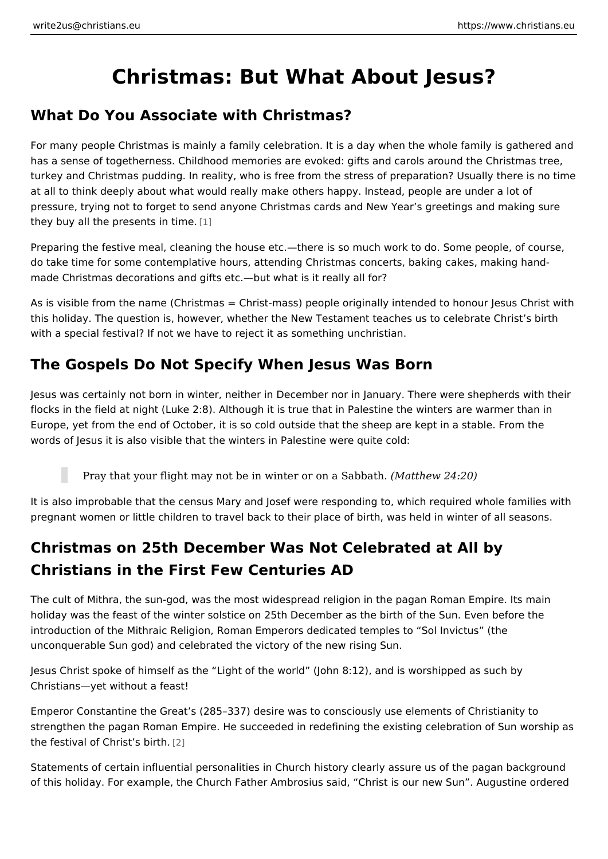# Christmas: But What About Jesus?

### What Do You Associate with Christmas?

For many people Christmas is mainly a family celebration. It is a day when the w has a sense of togetherness. Childhood memories are evoked: gifts and carols a turkey and Christmas pudding. In reality, who is free from the stress of preparat at all to think deeply about what would really make others happy. Instead, peopl pressure, trying not to forget to send anyone Christmas cards and New Year s gr they buy all the present $[1]$  in time.

Preparing the festive meal, cleaning the house etc. there is so much work to do. do take time for some contemplative hours, attending Christmas concerts, baking made Christmas decorations and gifts etc. but what is it really all for?

As is visible from the name (Christmas = Christ-mass) people originally intended this holiday. The question is, however, whether the New Testament teaches us to with a special festival? If not we have to reject it as something unchristian.

### The Gospels Do Not Specify When Jesus Was Born

Jesus was certainly not born in winter, neither in December nor in January. Ther flocks in the field at night (Luke 2:8). Although it is true that in Palestine the w Europe, yet from the end of October, it is so cold outside that the sheep are kept words of Jesus it is also visible that the winters in Palestine were quite cold:

### Pray that your flight may not be in winter  $\phi$  M south as  $\otimes$  a  $204$ b:  $210$ h).

It is also improbable that the census Mary and Josef were responding to, which i pregnant women or little children to travel back to their place of birth, was held

## Christmas on 25th December Was Not Celebrated at All by Christians in the First Few Centuries AD

The cult of Mithra, the sun-god, was the most widespread religion in the pagan F holiday was the feast of the winter solstice on 25th December as the birth of the introduction of the Mithraic Religion, Roman Emperors dedicated temples to Sol unconquerable Sun god) and celebrated the victory of the new rising Sun.

Jesus Christ spoke of himself as the Light of the world (John 8:12), and is wor Christians yet without a feast!

Emperor Constantine the Great s (285 337) desire was to consciously use elemer strengthen the pagan Roman Empire. He succeeded in redefining the existing cel the festival of  $Christp|s$  birth.

Statements of certain influential personalities in Church history clearly assure u of this holiday. For example, the Church Father Ambrosius said, Christ is our ne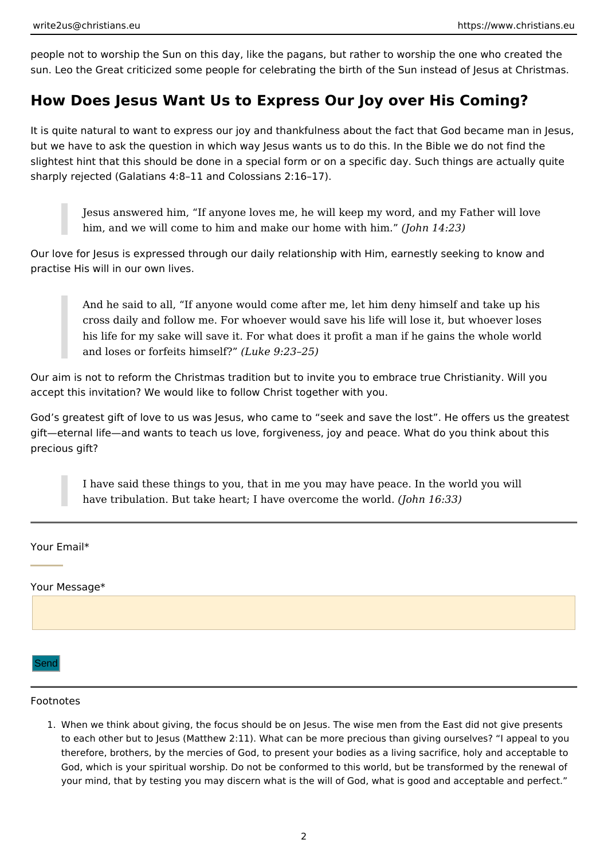people not to worship the Sun on this day, like the pagans, but rather to worship the one who created the sun. Leo the Great criticized some people for celebrating the birth of the Sun instead of Jesus at Christmas.

## **How Does Jesus Want Us to Express Our Joy over His Coming?**

It is quite natural to want to express our joy and thankfulness about the fact that God became man in Jesus, but we have to ask the question in which way Jesus wants us to do this. In the Bible we do not find the slightest hint that this should be done in a special form or on a specific day. Such things are actually quite sharply rejected (Galatians 4:8–11 and Colossians 2:16–17).

Jesus answered him, "If anyone loves me, he will keep my word, and my Father will love him, and we will come to him and make our home with him." *(John 14:23)*

Our love for Jesus is expressed through our daily relationship with Him, earnestly seeking to know and practise His will in our own lives.

And he said to all, "If anyone would come after me, let him deny himself and take up his cross daily and follow me. For whoever would save his life will lose it, but whoever loses his life for my sake will save it. For what does it profit a man if he gains the whole world and loses or forfeits himself?" *(Luke 9:23–25)*

Our aim is not to reform the Christmas tradition but to invite you to embrace true Christianity. Will you accept this invitation? We would like to follow Christ together with you.

God's greatest gift of love to us was Jesus, who came to "seek and save the lost". He offers us the greatest gift—eternal life—and wants to teach us love, forgiveness, joy and peace. What do you think about this precious gift?

I have said these things to you, that in me you may have peace. In the world you will have tribulation. But take heart; I have overcome the world. *(John 16:33)*

| Your Email* |
|-------------|
|             |

### Your Message\*

Send

#### Footnotes

1. When we think about giving, the focus should be on Jesus. The wise men from the East did not give presents to each other but to Jesus (Matthew 2:11). What can be more precious than giving ourselves? "I appeal to you therefore, brothers, by the mercies of God, to present your bodies as a living sacrifice, holy and acceptable to God, which is your spiritual worship. Do not be conformed to this world, but be transformed by the renewal of your mind, that by testing you may discern what is the will of God, what is good and acceptable and perfect."